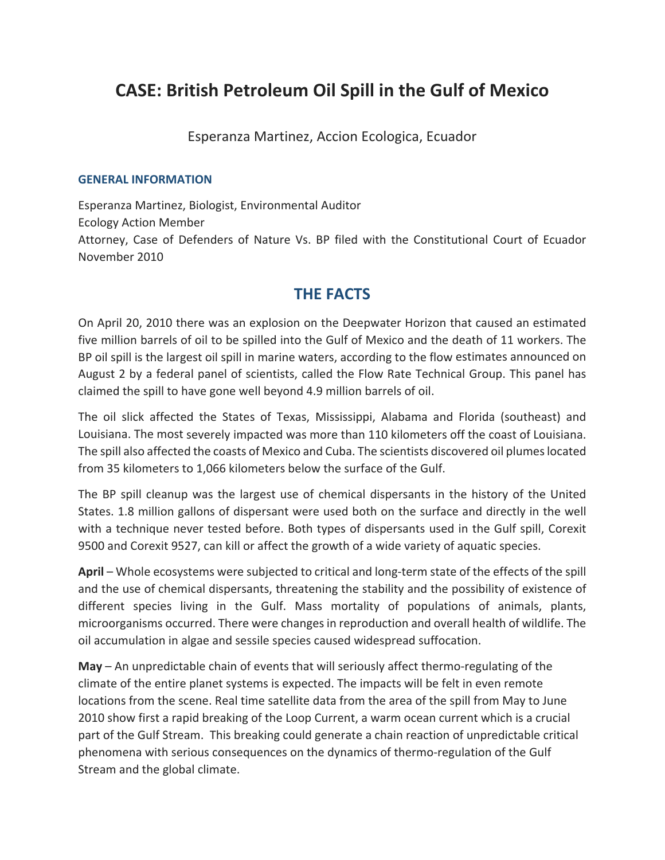# **CASE: British Petroleum Oil Spill in the Gulf of Mexico**

Esperanza Martinez, Accion Ecologica, Ecuador

#### **GENERAL INFORMATION**

Esperanza Martinez, Biologist, Environmental Auditor Ecology Action Member Attorney, Case of Defenders of Nature Vs. BP filed with the Constitutional Court of Ecuador November 2010

# **THE FACTS**

On April 20, 2010 there was an explosion on the Deepwater Horizon that caused an estimated five million barrels of oil to be spilled into the Gulf of Mexico and the death of 11 workers. The BP oil spill is the largest oil spill in marine waters, according to the flow estimates announced on August 2 by a federal panel of scientists, called the Flow Rate Technical Group. This panel has claimed the spill to have gone well beyond 4.9 million barrels of oil.

The oil slick affected the States of Texas, Mississippi, Alabama and Florida (southeast) and Louisiana. The most severely impacted was more than 110 kilometers off the coast of Louisiana. The spill also affected the coasts of Mexico and Cuba. The scientists discovered oil plumeslocated from 35 kilometers to 1,066 kilometers below the surface of the Gulf.

The BP spill cleanup was the largest use of chemical dispersants in the history of the United States. 1.8 million gallons of dispersant were used both on the surface and directly in the well with a technique never tested before. Both types of dispersants used in the Gulf spill, Corexit 9500 and Corexit 9527, can kill or affect the growth of a wide variety of aquatic species.

**April** – Whole ecosystems were subjected to critical and long‐term state of the effects of the spill and the use of chemical dispersants, threatening the stability and the possibility of existence of different species living in the Gulf. Mass mortality of populations of animals, plants, microorganisms occurred. There were changesin reproduction and overall health of wildlife. The oil accumulation in algae and sessile species caused widespread suffocation.

**May** – An unpredictable chain of events that will seriously affect thermo‐regulating of the climate of the entire planet systems is expected. The impacts will be felt in even remote locations from the scene. Real time satellite data from the area of the spill from May to June 2010 show first a rapid breaking of the Loop Current, a warm ocean current which is a crucial part of the Gulf Stream. This breaking could generate a chain reaction of unpredictable critical phenomena with serious consequences on the dynamics of thermo‐regulation of the Gulf Stream and the global climate.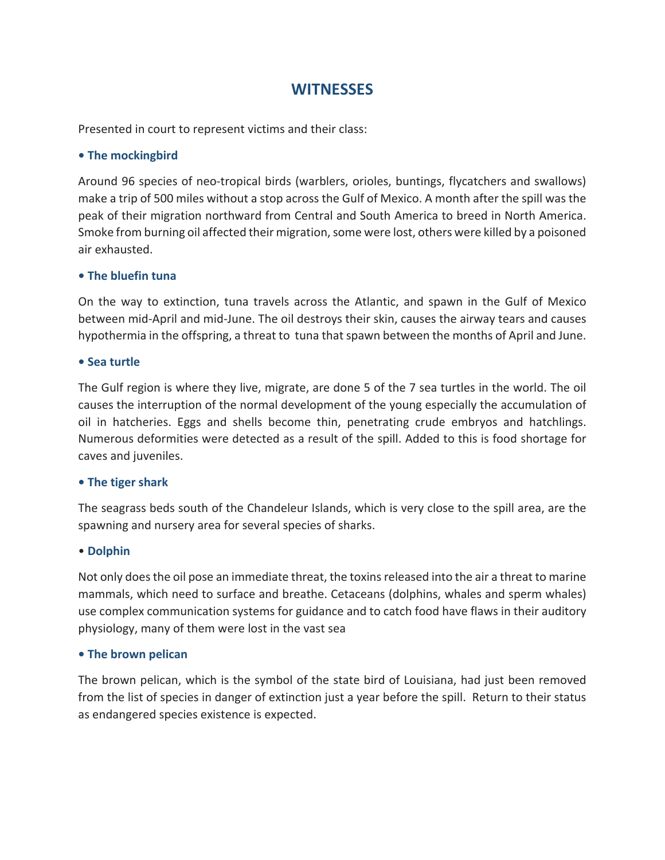# **WITNESSES**

Presented in court to represent victims and their class:

### **• The mockingbird**

Around 96 species of neo‐tropical birds (warblers, orioles, buntings, flycatchers and swallows) make a trip of 500 miles without a stop across the Gulf of Mexico. A month after the spill was the peak of their migration northward from Central and South America to breed in North America. Smoke from burning oil affected their migration, some were lost, others were killed by a poisoned air exhausted.

#### **• The bluefin tuna**

On the way to extinction, tuna travels across the Atlantic, and spawn in the Gulf of Mexico between mid‐April and mid‐June. The oil destroys their skin, causes the airway tears and causes hypothermia in the offspring, a threat to tuna that spawn between the months of April and June.

### **• Sea turtle**

The Gulf region is where they live, migrate, are done 5 of the 7 sea turtles in the world. The oil causes the interruption of the normal development of the young especially the accumulation of oil in hatcheries. Eggs and shells become thin, penetrating crude embryos and hatchlings. Numerous deformities were detected as a result of the spill. Added to this is food shortage for caves and juveniles.

#### **• The tiger shark**

The seagrass beds south of the Chandeleur Islands, which is very close to the spill area, are the spawning and nursery area for several species of sharks.

#### • **Dolphin**

Not only does the oil pose an immediate threat, the toxins released into the air a threat to marine mammals, which need to surface and breathe. Cetaceans (dolphins, whales and sperm whales) use complex communication systems for guidance and to catch food have flaws in their auditory physiology, many of them were lost in the vast sea

#### **• The brown pelican**

The brown pelican, which is the symbol of the state bird of Louisiana, had just been removed from the list of species in danger of extinction just a year before the spill. Return to their status as endangered species existence is expected.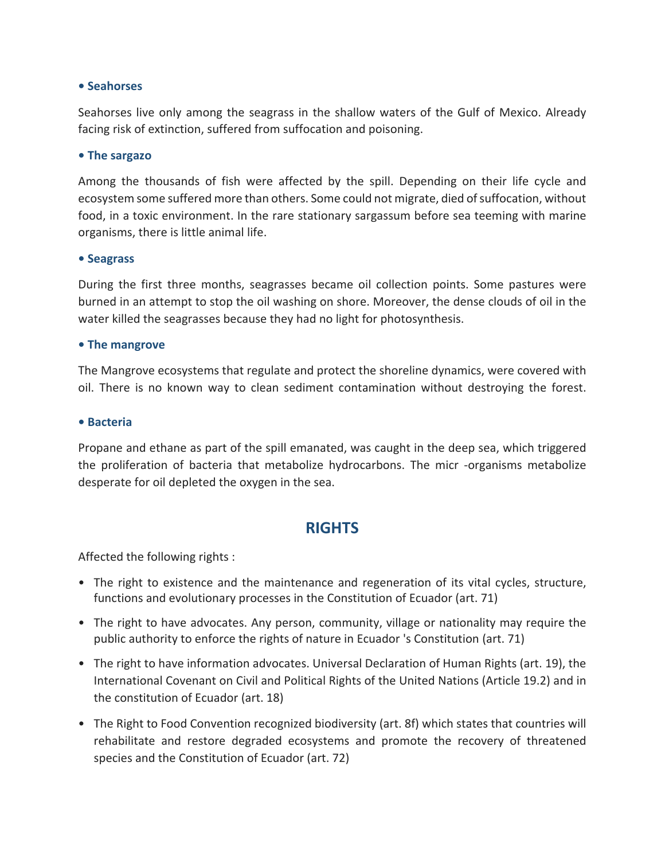#### **• Seahorses**

Seahorses live only among the seagrass in the shallow waters of the Gulf of Mexico. Already facing risk of extinction, suffered from suffocation and poisoning.

#### **• The sargazo**

Among the thousands of fish were affected by the spill. Depending on their life cycle and ecosystem some suffered more than others. Some could not migrate, died of suffocation, without food, in a toxic environment. In the rare stationary sargassum before sea teeming with marine organisms, there is little animal life.

#### **• Seagrass**

During the first three months, seagrasses became oil collection points. Some pastures were burned in an attempt to stop the oil washing on shore. Moreover, the dense clouds of oil in the water killed the seagrasses because they had no light for photosynthesis.

#### **• The mangrove**

The Mangrove ecosystems that regulate and protect the shoreline dynamics, were covered with oil. There is no known way to clean sediment contamination without destroying the forest.

#### **• Bacteria**

Propane and ethane as part of the spill emanated, was caught in the deep sea, which triggered the proliferation of bacteria that metabolize hydrocarbons. The micr ‐organisms metabolize desperate for oil depleted the oxygen in the sea.

# **RIGHTS**

Affected the following rights :

- The right to existence and the maintenance and regeneration of its vital cycles, structure, functions and evolutionary processes in the Constitution of Ecuador (art. 71)
- The right to have advocates. Any person, community, village or nationality may require the public authority to enforce the rights of nature in Ecuador 's Constitution (art. 71)
- The right to have information advocates. Universal Declaration of Human Rights (art. 19), the International Covenant on Civil and Political Rights of the United Nations (Article 19.2) and in the constitution of Ecuador (art. 18)
- The Right to Food Convention recognized biodiversity (art. 8f) which states that countries will rehabilitate and restore degraded ecosystems and promote the recovery of threatened species and the Constitution of Ecuador (art. 72)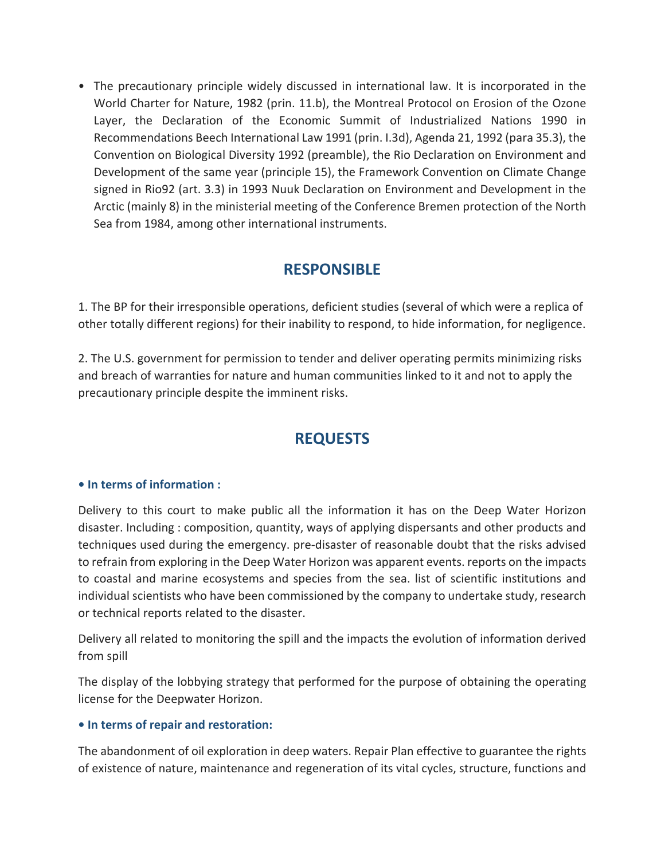• The precautionary principle widely discussed in international law. It is incorporated in the World Charter for Nature, 1982 (prin. 11.b), the Montreal Protocol on Erosion of the Ozone Layer, the Declaration of the Economic Summit of Industrialized Nations 1990 in Recommendations Beech International Law 1991 (prin. I.3d), Agenda 21, 1992 (para 35.3), the Convention on Biological Diversity 1992 (preamble), the Rio Declaration on Environment and Development of the same year (principle 15), the Framework Convention on Climate Change signed in Rio92 (art. 3.3) in 1993 Nuuk Declaration on Environment and Development in the Arctic (mainly 8) in the ministerial meeting of the Conference Bremen protection of the North Sea from 1984, among other international instruments.

# **RESPONSIBLE**

1. The BP for their irresponsible operations, deficient studies (several of which were a replica of other totally different regions) for their inability to respond, to hide information, for negligence.

2. The U.S. government for permission to tender and deliver operating permits minimizing risks and breach of warranties for nature and human communities linked to it and not to apply the precautionary principle despite the imminent risks.

# **REQUESTS**

## **• In terms of information :**

Delivery to this court to make public all the information it has on the Deep Water Horizon disaster. Including : composition, quantity, ways of applying dispersants and other products and techniques used during the emergency. pre‐disaster of reasonable doubt that the risks advised to refrain from exploring in the Deep Water Horizon was apparent events. reports on the impacts to coastal and marine ecosystems and species from the sea. list of scientific institutions and individual scientists who have been commissioned by the company to undertake study, research or technical reports related to the disaster.

Delivery all related to monitoring the spill and the impacts the evolution of information derived from spill

The display of the lobbying strategy that performed for the purpose of obtaining the operating license for the Deepwater Horizon.

#### **• In terms of repair and restoration:**

The abandonment of oil exploration in deep waters. Repair Plan effective to guarantee the rights of existence of nature, maintenance and regeneration of its vital cycles, structure, functions and